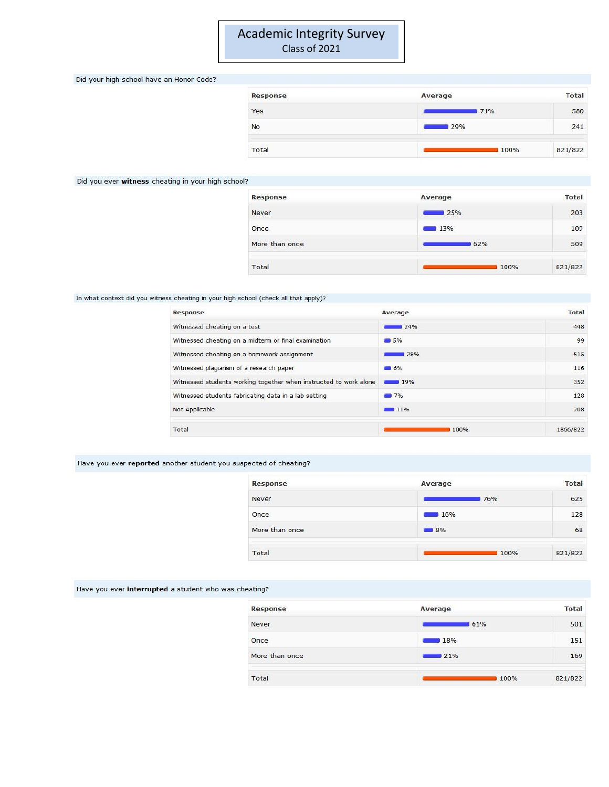# **Academic Integrity Survey** Class of 2021

Did your high school have an Honor Code?

| Response  | Average | <b>Total</b> |
|-----------|---------|--------------|
| Yes       | 71%     | 580          |
| <b>No</b> | 29%     | 241          |
| Total     | 100%    | 821/822      |

### Did you ever witness cheating in your high school?

| Response       | Average  | <b>Total</b> |
|----------------|----------|--------------|
| Never          | 25%      | 203          |
| Once           | 13%<br>═ | 109          |
| More than once | 62%      | 509          |
| Total          | 100%     | 821/822      |

### In what context did you witness cheating in your high school (check all that apply)?

| Response                                                          | Average                    | <b>Total</b> |
|-------------------------------------------------------------------|----------------------------|--------------|
| Witnessed cheating on a test                                      | 24%                        | 448          |
| Witnessed cheating on a midterm or final examination              | 5%                         | 99           |
| Witnessed cheating on a homework assignment                       | 28%                        | 515          |
| Witnessed plagiarism of a research paper                          | $-16%$                     | 116          |
| Witnessed students working together when instructed to work alone | 19%                        | 352          |
| Witnessed students fabricating data in a lab setting              | 7%                         | 128          |
| Not Applicable                                                    | <b>SAN ALAN AND</b><br>11% | 208          |
| Total                                                             | 100%                       | 1866/822     |

## Have you ever reported another student you suspected of cheating?

| Response       | Average           | <b>Total</b> |
|----------------|-------------------|--------------|
| Never          | 76%               | 625          |
| Once           | 16%               | 128          |
| More than once | $\blacksquare$ 8% | 68           |
| Total          | 100%              | 821/822      |

Have you ever interrupted a student who was cheating?

| <b>Response</b> | Average | <b>Total</b> |
|-----------------|---------|--------------|
| Never           | 61%     | 501          |
| Once            | 18%     | 151          |
| More than once  | 21%     | 169          |
| Total           | 100%    | 821/822      |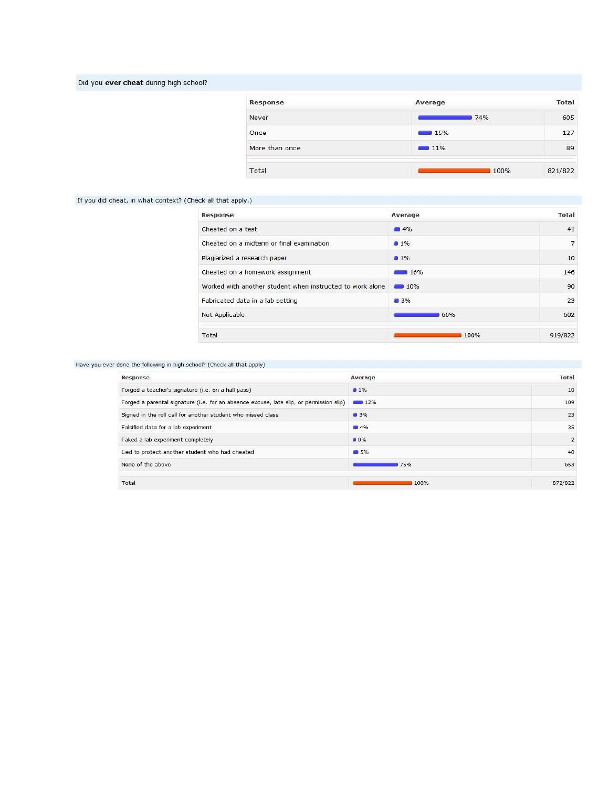## Did you ever cheat during high school?

| Response       | Average            | Total   |
|----------------|--------------------|---------|
| Never          | 74%                | 605     |
| Once           | $\blacksquare$ 15% | 127     |
| More than once | $11\%$             | 89      |
| Total          | 100%               | 821/822 |

### If you did cheat, in what context? (Check all that apply.)

| <b>Response</b>                                           | Average | <b>Total</b> |
|-----------------------------------------------------------|---------|--------------|
| Cheated on a test                                         | 4%      | 41           |
| Cheated on a midterm or final examination                 | $1\%$   | 7            |
| Plagiarized a research paper                              | $1\%$   | 10           |
| Cheated on a homework assignment                          | 16%     | 146          |
| Worked with another student when instructed to work alone | 10%     | 90           |
| Fabricated data in a lab setting                          | 3%      | 23           |
| Not Applicable                                            | 66%     | 602          |
| Total                                                     | 100%    | 919/822      |

### Have you ever done the following in high school? (Check all that apply)

| Response                                                                                | Average           | Total          |
|-----------------------------------------------------------------------------------------|-------------------|----------------|
| Forged a teacher's signature (i.e. on a hall pass)                                      | $1\%$             | 10             |
| Forged a parental signature (i.e. for an absence excuse, late slip, or permission slip) | 12%               | 109            |
| Signed in the roll call for another student who missed class                            | 3%                | 23             |
| Falsified data for a lab experiment                                                     | $\blacksquare$ 4% | 35             |
| Faked a lab experiment completely                                                       | 0%                | $\overline{2}$ |
| Lied to protect another student who had cheated                                         | 5%                | 40             |
| None of the above                                                                       | <b>75%</b>        | 653            |
| Total                                                                                   | 100%              | 872/822        |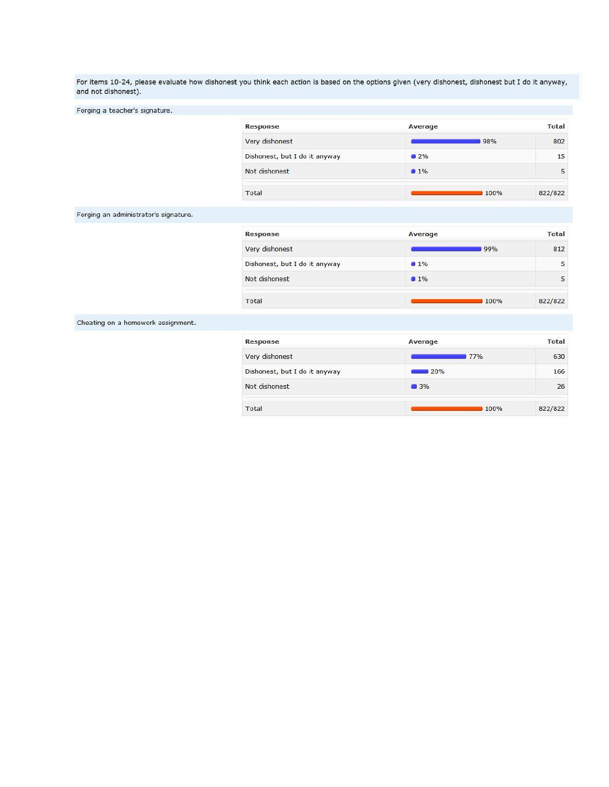For items 10-24, please evaluate how dishonest you think each action is based on the options given (very dishonest, dishonest but I do it anyway, and not dishonest).

Forging a teacher's signature.

| Response                      | Average | <b>Total</b> |
|-------------------------------|---------|--------------|
| Very dishonest                | 98%     | 802          |
| Dishonest, but I do it anyway | $2\%$   | 15           |
| Not dishonest                 | $1\%$   | 5            |
| Total                         | 100%    | 822/822      |

Forging an administrator's signature.

| Response                      | Average | <b>Total</b> |
|-------------------------------|---------|--------------|
| Very dishonest                | 99%     | 812          |
| Dishonest, but I do it anyway | $1\%$   | 5            |
| Not dishonest                 | $1\%$   |              |
| Total                         | 100%    | 822/822      |

Cheating on a homework assignment.

| Response                      | Average | <b>Total</b> |
|-------------------------------|---------|--------------|
| Very dishonest                | 77%     | 630          |
| Dishonest, but I do it anyway | 20%     | 166          |
| Not dishonest                 | 3%      | 26           |
| Total                         | 100%    | 822/822      |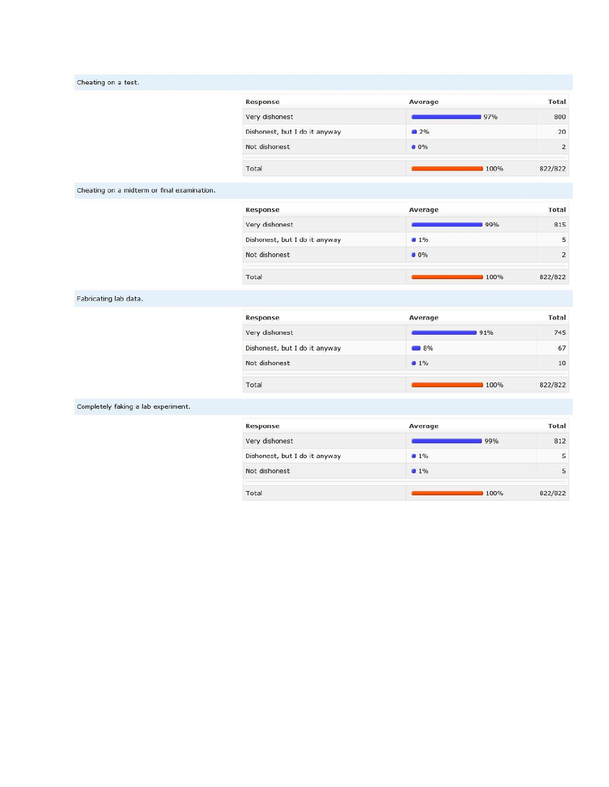|  | Cheating on a test. |  |
|--|---------------------|--|
|  |                     |  |

| Response                      | Average | <b>Total</b>   |
|-------------------------------|---------|----------------|
| Very dishonest                | 97%     | 800            |
| Dishonest, but I do it anyway | $2\%$   | 20             |
| Not dishonest                 | 0%      | $\overline{2}$ |
| Total                         | 100%    | 822/822        |

Cheating on a midterm or final examination.

| Response                      | Average | Total          |
|-------------------------------|---------|----------------|
| Very dishonest                | 99%     | 815            |
| Dishonest, but I do it anyway | $1\%$   | 5              |
| Not dishonest                 | 0%      | $\overline{2}$ |
| Total                         | 100%    | 822/822        |

Fabricating lab data.

| Response                      | Average           | <b>Total</b> |  |
|-------------------------------|-------------------|--------------|--|
| Very dishonest                | 91%               | 745          |  |
| Dishonest, but I do it anyway | $\blacksquare$ 8% | 67           |  |
| Not dishonest                 | 1%                | 10           |  |
| Total                         | 100%              | 822/822      |  |

Completely faking a lab experiment.

| Response                      | Average | <b>Total</b> |
|-------------------------------|---------|--------------|
| Very dishonest                | 99%     | 812          |
| Dishonest, but I do it anyway | $1\%$   |              |
| Not dishonest                 | $1\%$   |              |
| Total                         | 100%    | 822/822      |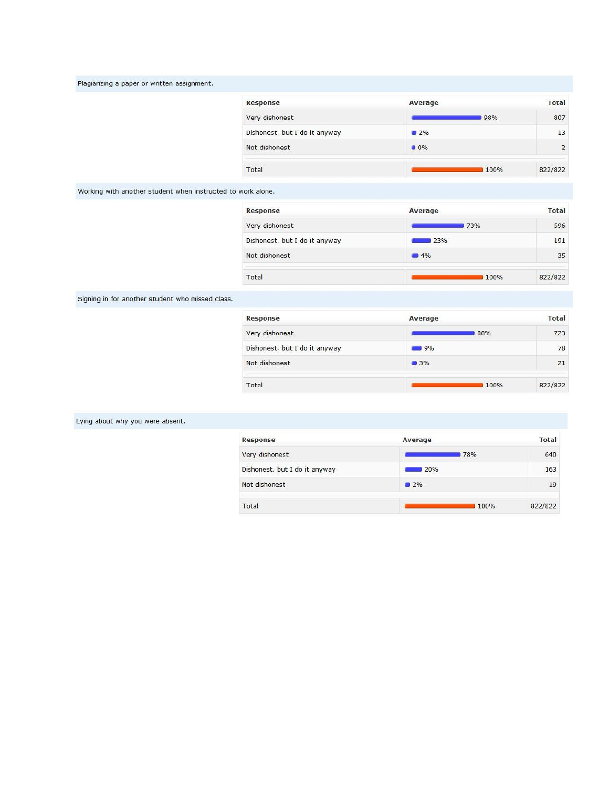|  |  | Plagiarizing a paper or written assignment. |  |
|--|--|---------------------------------------------|--|
|  |  |                                             |  |

| Response                      | Average | <b>Total</b> |
|-------------------------------|---------|--------------|
| Very dishonest                | 98%     | 807          |
| Dishonest, but I do it anyway | 2%      | 13           |
| Not dishonest                 | 0%      | 2            |
| Total                         | 100%    | 822/822      |

Working with another student when instructed to work alone.

| <b>Response</b>               | Average | <b>Total</b> |  |
|-------------------------------|---------|--------------|--|
| Very dishonest                | 73%     | 596          |  |
| Dishonest, but I do it anyway | 23%     | 191          |  |
| Not dishonest                 | 4%      | 35           |  |
| Total                         | 100%    | 822/822      |  |

Signing in for another student who missed class.

| <b>Response</b>               | Average | <b>Total</b> |  |
|-------------------------------|---------|--------------|--|
| Very dishonest                | 88%     | 723          |  |
| Dishonest, but I do it anyway | 9%      | 78           |  |
| Not dishonest                 | 3%      | 21           |  |
| Total                         | 100%    | 822/822      |  |

## Lying about why you were absent.

| <b>Response</b>               | Average | <b>Total</b> |
|-------------------------------|---------|--------------|
| Very dishonest                | 78%     | 640          |
| Dishonest, but I do it anyway | 20%     | 163          |
| Not dishonest                 | $2\%$   | 19           |
| Total                         | 100%    | 822/822      |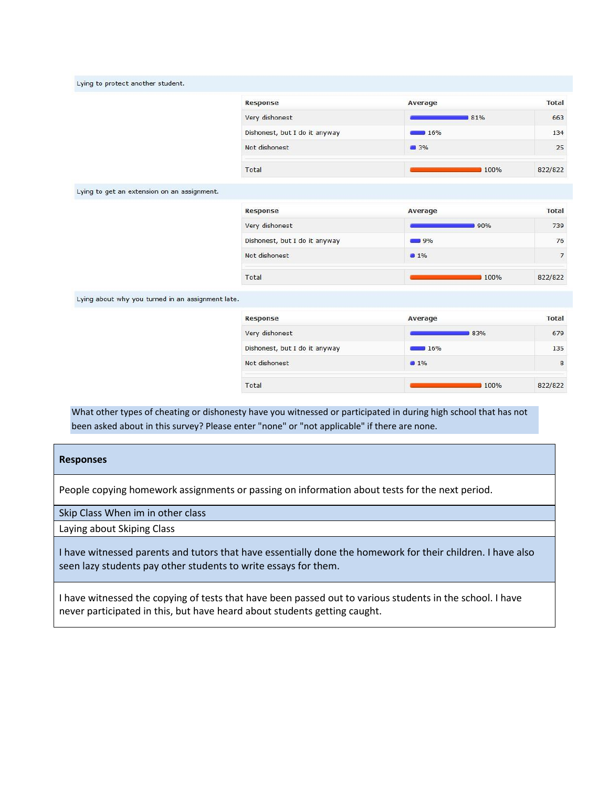| Lying to protect another student.                 |                               |         |                |
|---------------------------------------------------|-------------------------------|---------|----------------|
|                                                   | Response                      | Average | <b>Total</b>   |
|                                                   | Very dishonest                | 81%     | 663            |
|                                                   | Dishonest, but I do it anyway | 16%     | 134            |
|                                                   | Not dishonest                 | 3%      | 25             |
|                                                   | Total                         | 100%    | 822/822        |
| Lying to get an extension on an assignment.       |                               |         |                |
|                                                   | Response                      | Average | <b>Total</b>   |
|                                                   | Very dishonest                | 90%     | 739            |
|                                                   | Dishonest, but I do it anyway | 9%      | 76             |
|                                                   | Not dishonest                 | $1\%$   | $\overline{7}$ |
|                                                   | Total                         | 100%    | 822/822        |
| Lying about why you turned in an assignment late. |                               |         |                |
|                                                   | <b>Response</b>               | Average | <b>Total</b>   |
|                                                   | Very dishonest                | 83%     | 679            |
|                                                   | Dishonest, but I do it anyway | 16%     | 135            |
|                                                   | Not dishonest                 | $1\%$   | 8              |

822/822

100%

What other types of cheating or dishonesty have you witnessed or participated in during high school that has not been asked about in this survey? Please enter "none" or "not applicable" if there are none.

## **Responses**

People copying homework assignments or passing on information about tests for the next period.

Total

Skip Class When im in other class

Laying about Skiping Class

I have witnessed parents and tutors that have essentially done the homework for their children. I have also seen lazy students pay other students to write essays for them.

I have witnessed the copying of tests that have been passed out to various students in the school. I have never participated in this, but have heard about students getting caught.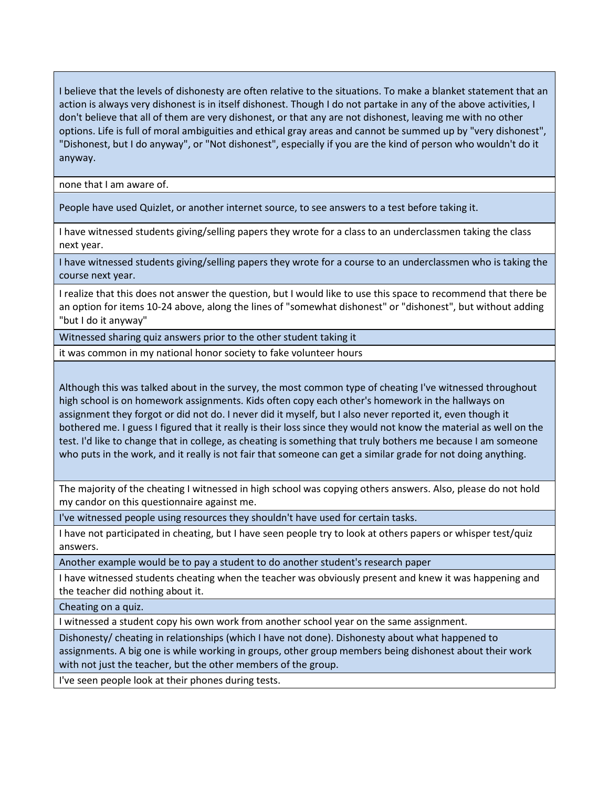I believe that the levels of dishonesty are often relative to the situations. To make a blanket statement that an action is always very dishonest is in itself dishonest. Though I do not partake in any of the above activities, I don't believe that all of them are very dishonest, or that any are not dishonest, leaving me with no other options. Life is full of moral ambiguities and ethical gray areas and cannot be summed up by "very dishonest", "Dishonest, but I do anyway", or "Not dishonest", especially if you are the kind of person who wouldn't do it anyway.

none that I am aware of.

People have used Quizlet, or another internet source, to see answers to a test before taking it.

I have witnessed students giving/selling papers they wrote for a class to an underclassmen taking the class next year.

I have witnessed students giving/selling papers they wrote for a course to an underclassmen who is taking the course next year.

I realize that this does not answer the question, but I would like to use this space to recommend that there be an option for items 10-24 above, along the lines of "somewhat dishonest" or "dishonest", but without adding "but I do it anyway"

Witnessed sharing quiz answers prior to the other student taking it

it was common in my national honor society to fake volunteer hours

Although this was talked about in the survey, the most common type of cheating I've witnessed throughout high school is on homework assignments. Kids often copy each other's homework in the hallways on assignment they forgot or did not do. I never did it myself, but I also never reported it, even though it bothered me. I guess I figured that it really is their loss since they would not know the material as well on the test. I'd like to change that in college, as cheating is something that truly bothers me because I am someone who puts in the work, and it really is not fair that someone can get a similar grade for not doing anything.

The majority of the cheating I witnessed in high school was copying others answers. Also, please do not hold my candor on this questionnaire against me.

I've witnessed people using resources they shouldn't have used for certain tasks.

I have not participated in cheating, but I have seen people try to look at others papers or whisper test/quiz answers.

Another example would be to pay a student to do another student's research paper

I have witnessed students cheating when the teacher was obviously present and knew it was happening and the teacher did nothing about it.

Cheating on a quiz.

I witnessed a student copy his own work from another school year on the same assignment.

Dishonesty/ cheating in relationships (which I have not done). Dishonesty about what happened to assignments. A big one is while working in groups, other group members being dishonest about their work with not just the teacher, but the other members of the group.

I've seen people look at their phones during tests.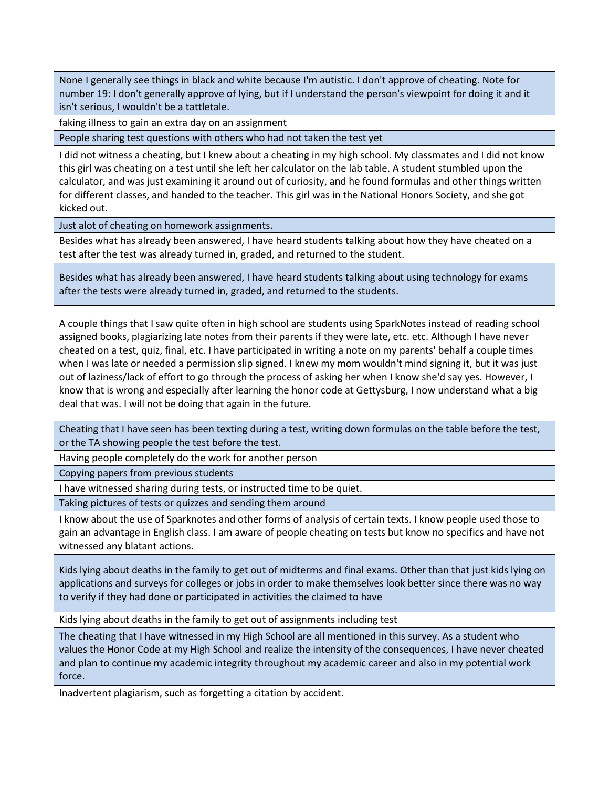None I generally see things in black and white because I'm autistic. I don't approve of cheating. Note for number 19: I don't generally approve of lying, but if I understand the person's viewpoint for doing it and it isn't serious, I wouldn't be a tattletale.

faking illness to gain an extra day on an assignment

People sharing test questions with others who had not taken the test yet

I did not witness a cheating, but I knew about a cheating in my high school. My classmates and I did not know this girl was cheating on a test until she left her calculator on the lab table. A student stumbled upon the calculator, and was just examining it around out of curiosity, and he found formulas and other things written for different classes, and handed to the teacher. This girl was in the National Honors Society, and she got kicked out.

Just alot of cheating on homework assignments.

Besides what has already been answered, I have heard students talking about how they have cheated on a test after the test was already turned in, graded, and returned to the student.

Besides what has already been answered, I have heard students talking about using technology for exams after the tests were already turned in, graded, and returned to the students.

A couple things that I saw quite often in high school are students using SparkNotes instead of reading school assigned books, plagiarizing late notes from their parents if they were late, etc. etc. Although I have never cheated on a test, quiz, final, etc. I have participated in writing a note on my parents' behalf a couple times when I was late or needed a permission slip signed. I knew my mom wouldn't mind signing it, but it was just out of laziness/lack of effort to go through the process of asking her when I know she'd say yes. However, I know that is wrong and especially after learning the honor code at Gettysburg, I now understand what a big deal that was. I will not be doing that again in the future.

Cheating that I have seen has been texting during a test, writing down formulas on the table before the test, or the TA showing people the test before the test.

Having people completely do the work for another person

Copying papers from previous students

I have witnessed sharing during tests, or instructed time to be quiet.

Taking pictures of tests or quizzes and sending them around

I know about the use of Sparknotes and other forms of analysis of certain texts. I know people used those to gain an advantage in English class. I am aware of people cheating on tests but know no specifics and have not witnessed any blatant actions.

Kids lying about deaths in the family to get out of midterms and final exams. Other than that just kids lying on applications and surveys for colleges or jobs in order to make themselves look better since there was no way to verify if they had done or participated in activities the claimed to have

Kids lying about deaths in the family to get out of assignments including test

The cheating that I have witnessed in my High School are all mentioned in this survey. As a student who values the Honor Code at my High School and realize the intensity of the consequences, I have never cheated and plan to continue my academic integrity throughout my academic career and also in my potential work force.

Inadvertent plagiarism, such as forgetting a citation by accident.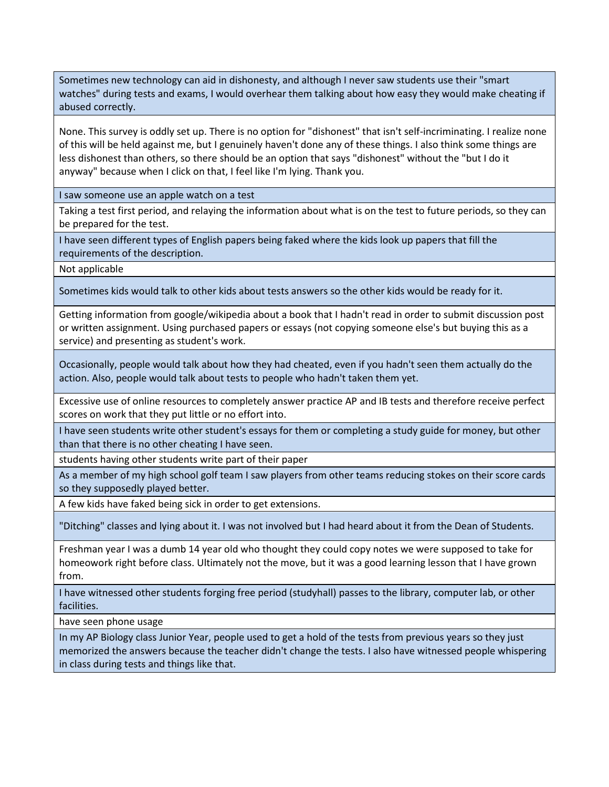Sometimes new technology can aid in dishonesty, and although I never saw students use their "smart watches" during tests and exams, I would overhear them talking about how easy they would make cheating if abused correctly.

None. This survey is oddly set up. There is no option for "dishonest" that isn't self-incriminating. I realize none of this will be held against me, but I genuinely haven't done any of these things. I also think some things are less dishonest than others, so there should be an option that says "dishonest" without the "but I do it anyway" because when I click on that, I feel like I'm lying. Thank you.

I saw someone use an apple watch on a test

Taking a test first period, and relaying the information about what is on the test to future periods, so they can be prepared for the test.

I have seen different types of English papers being faked where the kids look up papers that fill the requirements of the description.

Not applicable

Sometimes kids would talk to other kids about tests answers so the other kids would be ready for it.

Getting information from google/wikipedia about a book that I hadn't read in order to submit discussion post or written assignment. Using purchased papers or essays (not copying someone else's but buying this as a service) and presenting as student's work.

Occasionally, people would talk about how they had cheated, even if you hadn't seen them actually do the action. Also, people would talk about tests to people who hadn't taken them yet.

Excessive use of online resources to completely answer practice AP and IB tests and therefore receive perfect scores on work that they put little or no effort into.

I have seen students write other student's essays for them or completing a study guide for money, but other than that there is no other cheating I have seen.

students having other students write part of their paper

As a member of my high school golf team I saw players from other teams reducing stokes on their score cards so they supposedly played better.

A few kids have faked being sick in order to get extensions.

"Ditching" classes and lying about it. I was not involved but I had heard about it from the Dean of Students.

Freshman year I was a dumb 14 year old who thought they could copy notes we were supposed to take for homeowork right before class. Ultimately not the move, but it was a good learning lesson that I have grown from.

I have witnessed other students forging free period (studyhall) passes to the library, computer lab, or other facilities.

have seen phone usage

In my AP Biology class Junior Year, people used to get a hold of the tests from previous years so they just memorized the answers because the teacher didn't change the tests. I also have witnessed people whispering in class during tests and things like that.